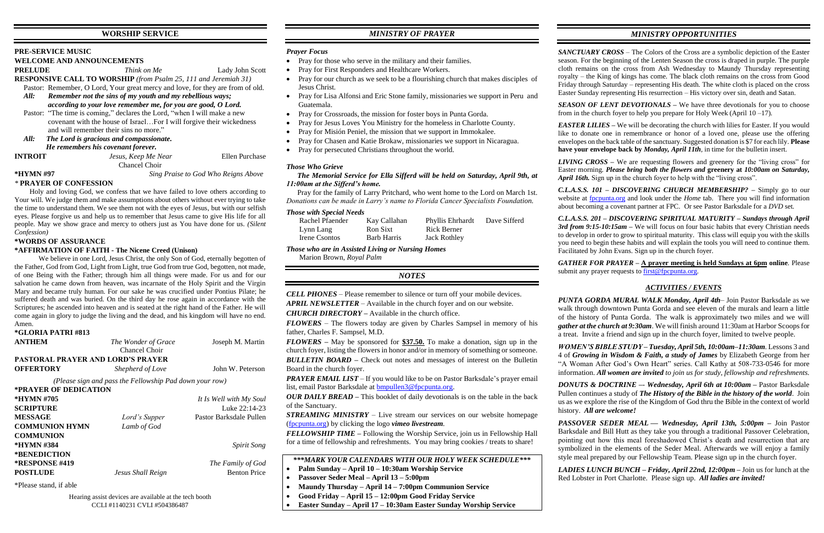# **WORSHIP SERVICE**

## **PRE-SERVICE MUSIC**

## **WELCOME AND ANNOUNCEMENTS**

**PRELUDE** *Think on Me* Lady John Scott

**RESPONSIVE CALL TO WORSHIP** *(from Psalm 25, 111 and Jeremiah 31)*

Pastor: Remember, O Lord, Your great mercy and love, for they are from of old.

 *All: Remember not the sins of my youth and my rebellious ways; according to your love remember me, for you are good, O Lord.*

 Pastor: "The time is coming," declares the Lord, "when I will make a new covenant with the house of Israel…For I will forgive their wickedness and will remember their sins no more."

*All: The Lord is gracious and compassionate. He remembers his covenant forever.*

**INTROIT** *Jesus, Keep Me Near* Ellen Purchase

Chancel Choir

**\*HYMN #97** *Sing Praise to God Who Reigns Above*

# *\** **PRAYER OF CONFESSION**

Holy and loving God, we confess that we have failed to love others according to Your will. We judge them and make assumptions about others without ever trying to take the time to understand them. We see them not with the eyes of Jesus, but with our selfish eyes. Please forgive us and help us to remember that Jesus came to give His life for all people. May we show grace and mercy to others just as You have done for us. *(Silent Confession)*

| *GLORIA PATRI #813                                      |                                      |                         |  |  |  |
|---------------------------------------------------------|--------------------------------------|-------------------------|--|--|--|
| <b>ANTHEM</b>                                           | The Wonder of Grace<br>Chancel Choir | Joseph M. Martin        |  |  |  |
| <b>PASTORAL PRAYER AND LORD'S PRAYER</b>                |                                      |                         |  |  |  |
| <b>OFFERTORY</b>                                        | Shepherd of Love                     | John W. Peterson        |  |  |  |
| (Please sign and pass the Fellowship Pad down your row) |                                      |                         |  |  |  |
| *PRAYER OF DEDICATION                                   |                                      |                         |  |  |  |
| *HYMN #705                                              |                                      | It Is Well with My Soul |  |  |  |
| <b>SCRIPTURE</b>                                        |                                      | Luke $22:14-23$         |  |  |  |
| <b>MESSAGE</b>                                          | Lord's Supper                        | Pastor Barksdale Pullen |  |  |  |
| <b>COMMUNION HYMN</b>                                   | Lamb of God                          |                         |  |  |  |
| <b>COMMUNION</b>                                        |                                      |                         |  |  |  |
| *HYMN #384                                              |                                      | <b>Spirit Song</b>      |  |  |  |
| <i><b>*BENEDICTION</b></i>                              |                                      |                         |  |  |  |
| <b>*RESPONSE #419</b>                                   |                                      | The Family of God       |  |  |  |
| <b>POSTLUDE</b>                                         | Jesus Shall Reign                    | <b>Benton Price</b>     |  |  |  |

### **\*WORDS OF ASSURANCE**

### **\*AFFIRMATION OF FAITH - The Nicene Creed (Unison)**

We believe in one Lord, Jesus Christ, the only Son of God, eternally begotten of the Father, God from God, Light from Light, true God from true God, begotten, not made, of one Being with the Father; through him all things were made. For us and for our salvation he came down from heaven, was incarnate of the Holy Spirit and the Virgin Mary and became truly human. For our sake he was crucified under Pontius Pilate; he suffered death and was buried. On the third day he rose again in accordance with the Scriptures; he ascended into heaven and is seated at the right hand of the Father. He will come again in glory to judge the living and the dead, and his kingdom will have no end. Amen.

> *PRAYER EMAIL LIST* – If you would like to be on Pastor Barksdale's prayer email list, email Pastor Barksdale at [bmpullen3@fpcpunta.org.](about:blank)

\*Please stand, if able

# *MINISTRY OF PRAYER*

# *Prayer Focus*

- Pray for those who serve in the military and their families.
- Pray for First Responders and Healthcare Workers.
- Pray for our church as we seek to be a flourishing church that makes disciples of Jesus Christ.
- Pray for Lisa Alfonsi and Eric Stone family, missionaries we support in Peru and Guatemala.
- Pray for Crossroads, the mission for foster boys in Punta Gorda.
- Pray for Jesus Loves You Ministry for the homeless in Charlotte County.
- Pray for Misión Peniel, the mission that we support in Immokalee.
- Pray for Chasen and Katie Brokaw, missionaries we support in Nicaragua.
- Pray for persecuted Christians throughout the world.

*SEASON OF LENT DEVOTIONALS –* We have three devotionals for you to choose from in the church foyer to help you prepare for Holy Week (April  $10 - 17$ ).

*EASTER LILIES* – We will be decorating the church with lilies for Easter. If you would like to donate one in remembrance or honor of a loved one, please use the offering envelopes on the back table of the sanctuary. Suggested donation is \$7 for each lily. **Please have your envelope back by** *Monday, April 11th*, in time for the bulletin insert.

*LIVING CROSS –* We are requesting flowers and greenery for the "living cross" for Easter morning. *Please bring both the flowers and* **greenery at** *10:00am on Saturday, April 16th.* Sign up in the church foyer to help with the "living cross".

### *Those Who Grieve*

### *The Memorial Service for Ella Sifferd will be held on Saturday, April 9th, at 11:00am at the Sifferd's home.*

 Pray for the family of Larry Pritchard, who went home to the Lord on March 1st. *Donations can be made in Larry's name to Florida Cancer Specialists Foundation.*

> *GATHER FOR PRAYER –* **A prayer meeting is held Sundays at 6pm online**. Please submit any prayer requests to  $first@f$

### *Those with Special Needs*

| Rachel Pfaender | Kay Callahan | Phyllis Ehrhardt    | Dave Sifferd |
|-----------------|--------------|---------------------|--------------|
| Lynn Lang       | Ron Sixt     | <b>Rick Berner</b>  |              |
| Irene Csontos   | Barb Harris  | <b>Jack Rothley</b> |              |

*Those who are in Assisted Living or Nursing Homes*

Marion Brown, *Royal Palm*

# *NOTES*

*CELL PHONES –* Please remember to silence or turn off your mobile devices. *APRIL NEWSLETTER –* Available in the church foyer and on our website.

*CHURCH DIRECTORY –* Available in the church office.

*FLOWERS* – The flowers today are given by Charles Sampsel in memory of his father, Charles F. Sampsel, M.D.

*FLOWERS –* May be sponsored for **\$37.50.** To make a donation, sign up in the church foyer, listing the flowers in honor and/or in memory of something or someone.

*BULLETIN BOARD –* Check out notes and messages of interest on the Bulletin Board in the church foyer.

*OUR DAILY BREAD –* This booklet of daily devotionals is on the table in the back of the Sanctuary.

*STREAMING MINISTRY –* Live stream our services on our website homepage [\(fpcpunta.org\)](about:blank) by clicking the logo *vimeo livestream.*

*FELLOWSHIP TIME –* Following the Worship Service, join us in Fellowship Hall for a time of fellowship and refreshments. You may bring cookies / treats to share!

*\*\*\*MARK YOUR CALENDARS WITH OUR HOLY WEEK SCHEDULE\*\*\**

- **Palm Sunday – April 10 – 10:30am Worship Service**
- **Passover Seder Meal – April 13 – 5:00pm**
- **Maundy Thursday – April 14 – 7:00pm Communion Service**
- **Good Friday – April 15 – 12:00pm Good Friday Service**
- **Easter Sunday – April 17 – 10:30am Easter Sunday Worship Service**

# *MINISTRY OPPORTUNITIES*

*SANCTUARY CROSS* – The Colors of the Cross are a symbolic depiction of the Easter season. For the beginning of the Lenten Season the cross is draped in purple. The purple cloth remains on the cross from Ash Wednesday to Maundy Thursday representing royalty – the King of kings has come. The black cloth remains on the cross from Good Friday through Saturday – representing His death. The white cloth is placed on the cross Easter Sunday representing His resurrection – His victory over sin, death and Satan.

*C.L.A.S.S. 101 – DISCOVERING CHURCH MEMBERSHIP? –* Simply go to our website at [fpcpunta.org](about:blank) and look under the *Home* tab. There you will find information about becoming a covenant partner at FPC. Or see Pastor Barksdale for a *DVD* set.

*C.L.A.S.S. 201 – DISCOVERING SPIRITUAL MATURITY – Sundays through April 3rd from 9:15-10:15am –* We will focus on four basic habits that every Christian needs to develop in order to grow to spiritual maturity. This class will equip you with the skills you need to begin these habits and will explain the tools you will need to continue them. Facilitated by John Evans. Sign up in the church foyer.

# *ACTIVITIES / EVENTS*

*PUNTA GORDA MURAL WALK Monday, April 4th*– Join Pastor Barksdale as we walk through downtown Punta Gorda and see eleven of the murals and learn a little of the history of Punta Gorda. The walk is approximately two miles and we will *gather at the church at 9:30am*. We will finish around 11:30am at Harbor Scoops for a treat. Invite a friend and sign up in the church foyer, limited to twelve people.

*WOMEN'S BIBLE STUDY – Tuesday, April 5th, 10:00am–11:30am*. Lessons 3 and 4 of *Growing in Wisdom & Faith, a study of James* by Elizabeth George from her "A Woman After God's Own Heart" series. Call Kathy at 508-733-0546 for more information. *All women are invited to join us for study, fellowship and refreshments.*

*DONUTS & DOCTRINE –*- *Wednesday, April 6th at 10:00am –* Pastor Barksdale Pullen continues a study of *The History of the Bible in the history of the world*. Join us as we explore the rise of the Kingdom of God thru the Bible in the context of world history. *All are welcome!*

*PASSOVER SEDER MEAL — Wednesday, April 13th, 5:00pm –* Join Pastor Barksdale and Bill Hutt as they take you through a traditional Passover Celebration, pointing out how this meal foreshadowed Christ's death and resurrection that are symbolized in the elements of the Seder Meal. Afterwards we will enjoy a family style meal prepared by our Fellowship Team. Please sign up in the church foyer.

*LADIES LUNCH BUNCH – Friday, April 22nd, 12:00pm –* Join us for lunch at the Red Lobster in Port Charlotte. Please sign up. *All ladies are invited!*